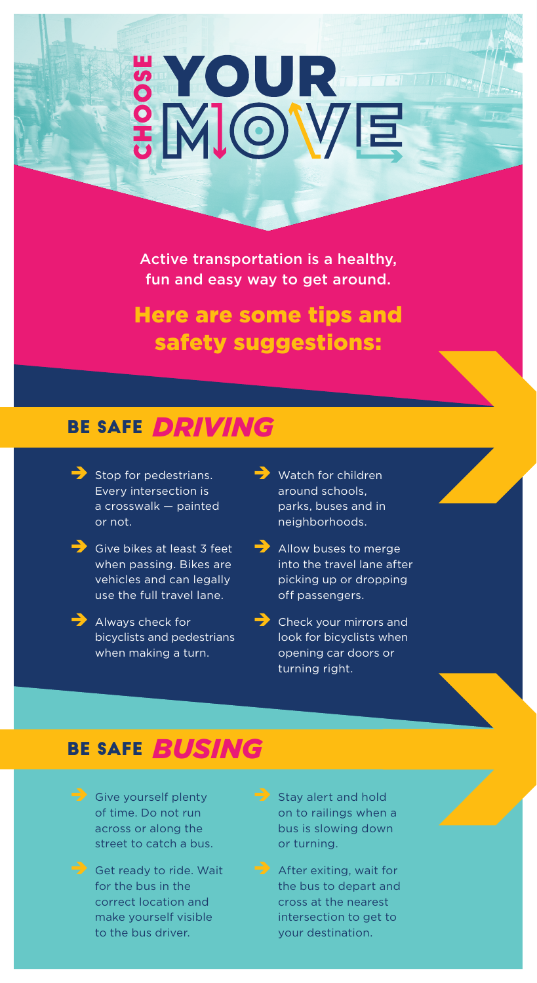# **SYOUR**<br>SMOVE

Active transportation is a healthy, fun and easy way to get around.

Here are some tips and safety suggestions:

# BE SAFE *DRIVING*

- $\rightarrow$  Stop for pedestrians. Every intersection is a crosswalk — painted or not.
	- **i** Give bikes at least 3 feet when passing. Bikes are vehicles and can legally use the full travel lane.
	- Always check for bicyclists and pedestrians when making a turn.
- $\rightarrow$  Watch for children around schools, parks, buses and in neighborhoods.
- $\rightarrow$  Allow buses to merge into the travel lane after picking up or dropping off passengers.
- $\rightarrow$  Check your mirrors and look for bicyclists when opening car doors or turning right.

## BE SAFE *BUSING*

- $\rightarrow$  Give yourself plenty of time. Do not run across or along the street to catch a bus.
- $\rightarrow$  Get ready to ride. Wait for the bus in the correct location and make yourself visible to the bus driver.
- $\rightarrow$  Stay alert and hold on to railings when a bus is slowing down or turning.
- $\rightarrow$  After exiting, wait for the bus to depart and cross at the nearest intersection to get to your destination.